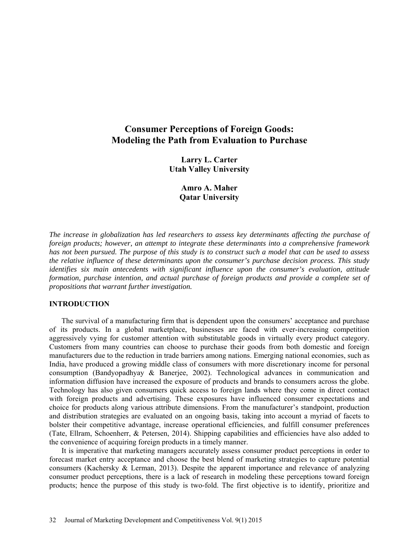# **Consumer Perceptions of Foreign Goods: Modeling the Path from Evaluation to Purchase**

**Larry L. Carter Utah Valley University** 

> **Amro A. Maher Qatar University**

*The increase in globalization has led researchers to assess key determinants affecting the purchase of foreign products; however, an attempt to integrate these determinants into a comprehensive framework has not been pursued. The purpose of this study is to construct such a model that can be used to assess the relative influence of these determinants upon the consumer's purchase decision process. This study identifies six main antecedents with significant influence upon the consumer's evaluation, attitude formation, purchase intention, and actual purchase of foreign products and provide a complete set of propositions that warrant further investigation.*

## **INTRODUCTION**

The survival of a manufacturing firm that is dependent upon the consumers' acceptance and purchase of its products. In a global marketplace, businesses are faced with ever-increasing competition aggressively vying for customer attention with substitutable goods in virtually every product category. Customers from many countries can choose to purchase their goods from both domestic and foreign manufacturers due to the reduction in trade barriers among nations. Emerging national economies, such as India, have produced a growing middle class of consumers with more discretionary income for personal consumption (Bandyopadhyay & Banerjee, 2002). Technological advances in communication and information diffusion have increased the exposure of products and brands to consumers across the globe. Technology has also given consumers quick access to foreign lands where they come in direct contact with foreign products and advertising. These exposures have influenced consumer expectations and choice for products along various attribute dimensions. From the manufacturer's standpoint, production and distribution strategies are evaluated on an ongoing basis, taking into account a myriad of facets to bolster their competitive advantage, increase operational efficiencies, and fulfill consumer preferences (Tate, Ellram, Schoenherr, & Petersen, 2014). Shipping capabilities and efficiencies have also added to the convenience of acquiring foreign products in a timely manner.

It is imperative that marketing managers accurately assess consumer product perceptions in order to forecast market entry acceptance and choose the best blend of marketing strategies to capture potential consumers (Kachersky & Lerman, 2013). Despite the apparent importance and relevance of analyzing consumer product perceptions, there is a lack of research in modeling these perceptions toward foreign products; hence the purpose of this study is two-fold. The first objective is to identify, prioritize and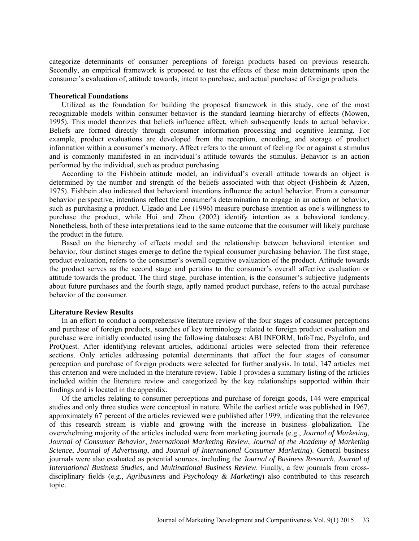categorize determinants of consumer perceptions of foreign products based on previous research. Secondly, an empirical framework is proposed to test the effects of these main determinants upon the consumer's evaluation of, attitude towards, intent to purchase, and actual purchase of foreign products.

#### **Theoretical Foundations**

Utilized as the foundation for building the proposed framework in this study, one of the most recognizable models within consumer behavior is the standard learning hierarchy of effects (Mowen, 1995). This model theorizes that beliefs influence affect, which subsequently leads to actual behavior. Beliefs are formed directly through consumer information processing and cognitive learning. For example, product evaluations are developed from the reception, encoding, and storage of product information within a consumer's memory. Affect refers to the amount of feeling for or against a stimulus and is commonly manifested in an individual's attitude towards the stimulus. Behavior is an action performed by the individual, such as product purchasing.

According to the Fishbein attitude model, an individual's overall attitude towards an object is determined by the number and strength of the beliefs associated with that object (Fishbein & Ajzen, 1975). Fishbein also indicated that behavioral intentions influence the actual behavior. From a consumer behavior perspective, intentions reflect the consumer's determination to engage in an action or behavior, such as purchasing a product. Ulgado and Lee (1996) measure purchase intention as one's willingness to purchase the product, while Hui and Zhou (2002) identify intention as a behavioral tendency. Nonetheless, both of these interpretations lead to the same outcome that the consumer will likely purchase the product in the future.

Based on the hierarchy of effects model and the relationship between behavioral intention and behavior, four distinct stages emerge to define the typical consumer purchasing behavior. The first stage, product evaluation, refers to the consumer's overall cognitive evaluation of the product. Attitude towards the product serves as the second stage and pertains to the consumer's overall affective evaluation or attitude towards the product. The third stage, purchase intention, is the consumer's subjective judgments about future purchases and the fourth stage, aptly named product purchase, refers to the actual purchase behavior of the consumer.

## **Literature Review Results**

In an effort to conduct a comprehensive literature review of the four stages of consumer perceptions and purchase of foreign products, searches of key terminology related to foreign product evaluation and purchase were initially conducted using the following databases: ABI INFORM, InfoTrac, PsycInfo, and ProQuest. After identifying relevant articles, additional articles were selected from their reference sections. Only articles addressing potential determinants that affect the four stages of consumer perception and purchase of foreign products were selected for further analysis. In total, 147 articles met this criterion and were included in the literature review. Table 1 provides a summary listing of the articles included within the literature review and categorized by the key relationships supported within their findings and is located in the appendix.

Of the articles relating to consumer perceptions and purchase of foreign goods, 144 were empirical studies and only three studies were conceptual in nature. While the earliest article was published in 1967, approximately 67 percent of the articles reviewed were published after 1999, indicating that the relevance of this research stream is viable and growing with the increase in business globalization. The overwhelming majority of the articles included were from marketing journals (e.g., *Journal of Marketing*, *Journal of Consumer Behavior*, *International Marketing Review*, *Journal of the Academy of Marketing Science*, *Journal of Advertising*, and *Journal of International Consumer Marketing*). General business journals were also evaluated as potential sources, including the *Journal of Business Research*, *Journal of International Business Studies*, and *Multinational Business Review*. Finally, a few journals from crossdisciplinary fields (e.g., *Agribusiness* and *Psychology & Marketing*) also contributed to this research topic.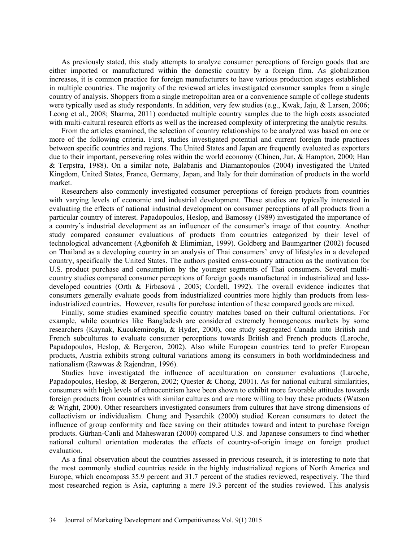As previously stated, this study attempts to analyze consumer perceptions of foreign goods that are either imported or manufactured within the domestic country by a foreign firm. As globalization increases, it is common practice for foreign manufacturers to have various production stages established in multiple countries. The majority of the reviewed articles investigated consumer samples from a single country of analysis. Shoppers from a single metropolitan area or a convenience sample of college students were typically used as study respondents. In addition, very few studies (e.g., Kwak, Jaju, & Larsen, 2006; Leong et al., 2008; Sharma, 2011) conducted multiple country samples due to the high costs associated with multi-cultural research efforts as well as the increased complexity of interpreting the analytic results.

From the articles examined, the selection of country relationships to be analyzed was based on one or more of the following criteria. First, studies investigated potential and current foreign trade practices between specific countries and regions. The United States and Japan are frequently evaluated as exporters due to their important, persevering roles within the world economy (Chinen, Jun, & Hampton, 2000; Han & Terpstra, 1988). On a similar note, Balabanis and Diamantopoulos (2004) investigated the United Kingdom, United States, France, Germany, Japan, and Italy for their domination of products in the world market.

Researchers also commonly investigated consumer perceptions of foreign products from countries with varying levels of economic and industrial development. These studies are typically interested in evaluating the effects of national industrial development on consumer perceptions of all products from a particular country of interest. Papadopoulos, Heslop, and Bamossy (1989) investigated the importance of a country's industrial development as an influencer of the consumer's image of that country. Another study compared consumer evaluations of products from countries categorized by their level of technological advancement (Agbonifoh & Elimimian, 1999). Goldberg and Baumgartner (2002) focused on Thailand as a developing country in an analysis of Thai consumers' envy of lifestyles in a developed country, specifically the United States. The authors posited cross-country attraction as the motivation for U.S. product purchase and consumption by the younger segments of Thai consumers. Several multicountry studies compared consumer perceptions of foreign goods manufactured in industrialized and lessdeveloped countries (Orth & Firbasová , 2003; Cordell, 1992). The overall evidence indicates that consumers generally evaluate goods from industrialized countries more highly than products from lessindustrialized countries. However, results for purchase intention of these compared goods are mixed.

Finally, some studies examined specific country matches based on their cultural orientations. For example, while countries like Bangladesh are considered extremely homogeneous markets by some researchers (Kaynak, Kucukemiroglu, & Hyder, 2000), one study segregated Canada into British and French subcultures to evaluate consumer perceptions towards British and French products (Laroche, Papadopoulos, Heslop, & Bergeron, 2002). Also while European countries tend to prefer European products, Austria exhibits strong cultural variations among its consumers in both worldmindedness and nationalism (Rawwas & Rajendran, 1996).

Studies have investigated the influence of acculturation on consumer evaluations (Laroche, Papadopoulos, Heslop, & Bergeron, 2002; Quester & Chong, 2001). As for national cultural similarities, consumers with high levels of ethnocentrism have been shown to exhibit more favorable attitudes towards foreign products from countries with similar cultures and are more willing to buy these products (Watson & Wright, 2000). Other researchers investigated consumers from cultures that have strong dimensions of collectivism or individualism. Chung and Pysarchik (2000) studied Korean consumers to detect the influence of group conformity and face saving on their attitudes toward and intent to purchase foreign products. Gürhan-Canli and Maheswaran (2000) compared U.S. and Japanese consumers to find whether national cultural orientation moderates the effects of country-of-origin image on foreign product evaluation.

As a final observation about the countries assessed in previous research, it is interesting to note that the most commonly studied countries reside in the highly industrialized regions of North America and Europe, which encompass 35.9 percent and 31.7 percent of the studies reviewed, respectively. The third most researched region is Asia, capturing a mere 19.3 percent of the studies reviewed. This analysis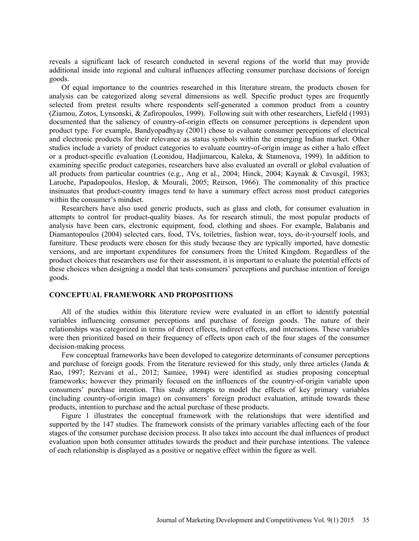reveals a significant lack of research conducted in several regions of the world that may provide additional inside into regional and cultural influences affecting consumer purchase decisions of foreign goods.

Of equal importance to the countries researched in this literature stream, the products chosen for analysis can be categorized along several dimensions as well. Specific product types are frequently selected from pretest results where respondents self-generated a common product from a country (Ziamou, Zotos, Lynsonski, & Zafiropoulos, 1999). Following suit with other researchers, Liefeld (1993) documented that the saliency of country-of-origin effects on consumer perceptions is dependent upon product type. For example, Bandyopadhyay (2001) chose to evaluate consumer perceptions of electrical and electronic products for their relevance as status symbols within the emerging Indian market. Other studies include a variety of product categories to evaluate country-of-origin image as either a halo effect or a product-specific evaluation (Leonidou, Hadjimarcou, Kaleka, & Stamenova, 1999). In addition to examining specific product categories, researchers have also evaluated an overall or global evaluation of all products from particular countries (e.g., Ang et al., 2004; Hinck, 2004; Kaynak & Cavusgil, 1983; Laroche, Papadopoulos, Heslop, & Mourali, 2005; Reirson, 1966). The commonality of this practice insinuates that product-country images tend to have a summary effect across most product categories within the consumer's mindset.

Researchers have also used generic products, such as glass and cloth, for consumer evaluation in attempts to control for product-quality biases. As for research stimuli, the most popular products of analysis have been cars, electronic equipment, food, clothing and shoes. For example, Balabanis and Diamantopoulos (2004) selected cars, food, TVs, toiletries, fashion wear, toys, do-it-yourself tools, and furniture. These products were chosen for this study because they are typically imported, have domestic versions, and are important expenditures for consumers from the United Kingdom. Regardless of the product choices that researchers use for their assessment, it is important to evaluate the potential effects of these choices when designing a model that tests consumers' perceptions and purchase intention of foreign goods.

#### **CONCEPTUAL FRAMEWORK AND PROPOSITIONS**

All of the studies within this literature review were evaluated in an effort to identify potential variables influencing consumer perceptions and purchase of foreign goods. The nature of their relationships was categorized in terms of direct effects, indirect effects, and interactions. These variables were then prioritized based on their frequency of effects upon each of the four stages of the consumer decision-making process.

Few conceptual frameworks have been developed to categorize determinants of consumer perceptions and purchase of foreign goods. From the literature reviewed for this study, only three articles (Janda  $\&$ Rao, 1997; Rezvani et al., 2012; Samiee, 1994) were identified as studies proposing conceptual frameworks; however they primarily focused on the influences of the country-of-origin variable upon consumers' purchase intention. This study attempts to model the effects of key primary variables (including country-of-origin image) on consumers' foreign product evaluation, attitude towards these products, intention to purchase and the actual purchase of these products.

Figure 1 illustrates the conceptual framework with the relationships that were identified and supported by the 147 studies. The framework consists of the primary variables affecting each of the four stages of the consumer purchase decision process. It also takes into account the dual influences of product evaluation upon both consumer attitudes towards the product and their purchase intentions. The valence of each relationship is displayed as a positive or negative effect within the figure as well.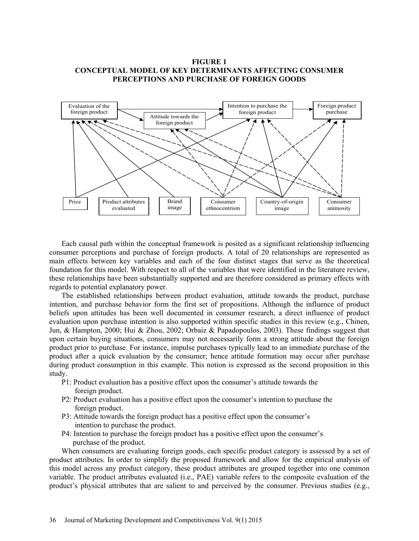## **FIGURE 1 CONCEPTUAL MODEL OF KEY DETERMINANTS AFFECTING CONSUMER PERCEPTIONS AND PURCHASE OF FOREIGN GOODS**



Each causal path within the conceptual framework is posited as a significant relationship influencing consumer perceptions and purchase of foreign products. A total of 20 relationships are represented as main effects between key variables and each of the four distinct stages that serve as the theoretical foundation for this model. With respect to all of the variables that were identified in the literature review, these relationships have been substantially supported and are therefore considered as primary effects with regards to potential explanatory power.

The established relationships between product evaluation, attitude towards the product, purchase intention, and purchase behavior form the first set of propositions. Although the influence of product beliefs upon attitudes has been well documented in consumer research, a direct influence of product evaluation upon purchase intention is also supported within specific studies in this review (e.g., Chinen, Jun, & Hampton, 2000; Hui & Zhou, 2002; Orbaiz & Papadopoulos, 2003). These findings suggest that upon certain buying situations, consumers may not necessarily form a strong attitude about the foreign product prior to purchase. For instance, impulse purchases typically lead to an immediate purchase of the product after a quick evaluation by the consumer; hence attitude formation may occur after purchase during product consumption in this example. This notion is expressed as the second proposition in this study.

- P1: Product evaluation has a positive effect upon the consumer's attitude towards the foreign product.
- P2: Product evaluation has a positive effect upon the consumer's intention to purchase the foreign product.
- P3: Attitude towards the foreign product has a positive effect upon the consumer's intention to purchase the product.
- P4: Intention to purchase the foreign product has a positive effect upon the consumer's purchase of the product.

When consumers are evaluating foreign goods, each specific product category is assessed by a set of product attributes. In order to simplify the proposed framework and allow for the empirical analysis of this model across any product category, these product attributes are grouped together into one common variable. The product attributes evaluated (i.e., PAE) variable refers to the composite evaluation of the product's physical attributes that are salient to and perceived by the consumer. Previous studies (e.g.,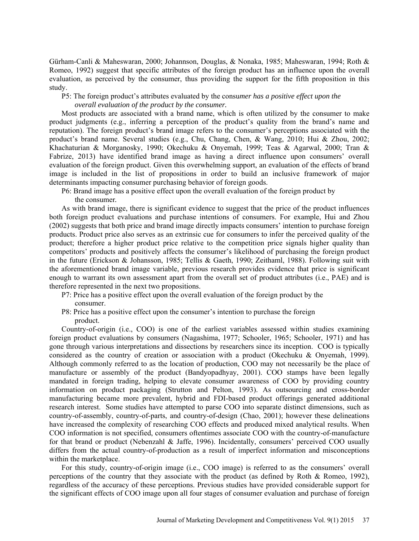Gürham-Canli & Maheswaran, 2000; Johannson, Douglas, & Nonaka, 1985; Maheswaran, 1994; Roth & Romeo, 1992) suggest that specific attributes of the foreign product has an influence upon the overall evaluation, as perceived by the consumer, thus providing the support for the fifth proposition in this study.

P5: The foreign product's attributes evaluated by the consu*mer has a positive effect upon the overall evaluation of the product by the consumer.* 

Most products are associated with a brand name, which is often utilized by the consumer to make product judgments (e.g., inferring a perception of the product's quality from the brand's name and reputation). The foreign product's brand image refers to the consumer's perceptions associated with the product's brand name. Several studies (e.g., Chu, Chang, Chen, & Wang, 2010; Hui & Zhou, 2002; Khachaturian & Morganosky, 1990; Okechuku & Onyemah, 1999; Teas & Agarwal, 2000; Tran & Fabrize, 2013) have identified brand image as having a direct influence upon consumers' overall evaluation of the foreign product. Given this overwhelming support, an evaluation of the effects of brand image is included in the list of propositions in order to build an inclusive framework of major determinants impacting consumer purchasing behavior of foreign goods.

P6: Brand image has a positive effect upon the overall evaluation of the foreign product by the consumer*.* 

As with brand image, there is significant evidence to suggest that the price of the product influences both foreign product evaluations and purchase intentions of consumers. For example, Hui and Zhou (2002) suggests that both price and brand image directly impacts consumers' intention to purchase foreign products. Product price also serves as an extrinsic cue for consumers to infer the perceived quality of the product; therefore a higher product price relative to the competition price signals higher quality than competitors' products and positively affects the consumer's likelihood of purchasing the foreign product in the future (Erickson & Johansson, 1985; Tellis & Gaeth, 1990; Zeithaml, 1988). Following suit with the aforementioned brand image variable, previous research provides evidence that price is significant enough to warrant its own assessment apart from the overall set of product attributes (i.e., PAE) and is therefore represented in the next two propositions.

- P7: Price has a positive effect upon the overall evaluation of the foreign product by the consumer.
- P8: Price has a positive effect upon the consumer's intention to purchase the foreign product.

Country-of-origin (i.e., COO) is one of the earliest variables assessed within studies examining foreign product evaluations by consumers (Nagashima, 1977; Schooler, 1965; Schooler, 1971) and has gone through various interpretations and dissections by researchers since its inception. COO is typically considered as the country of creation or association with a product (Okechuku & Onyemah, 1999). Although commonly referred to as the location of production, COO may not necessarily be the place of manufacture or assembly of the product (Bandyopadhyay, 2001). COO stamps have been legally mandated in foreign trading, helping to elevate consumer awareness of COO by providing country information on product packaging (Strutton and Pelton, 1993). As outsourcing and cross-border manufacturing became more prevalent, hybrid and FDI-based product offerings generated additional research interest. Some studies have attempted to parse COO into separate distinct dimensions, such as country-of-assembly, country-of-parts, and country-of-design (Chao, 2001); however these delineations have increased the complexity of researching COO effects and produced mixed analytical results. When COO information is not specified, consumers oftentimes associate COO with the country-of-manufacture for that brand or product (Nebenzahl & Jaffe, 1996). Incidentally, consumers' perceived COO usually differs from the actual country-of-production as a result of imperfect information and misconceptions within the marketplace.

For this study, country-of-origin image (i.e., COO image) is referred to as the consumers' overall perceptions of the country that they associate with the product (as defined by Roth & Romeo, 1992), regardless of the accuracy of these perceptions. Previous studies have provided considerable support for the significant effects of COO image upon all four stages of consumer evaluation and purchase of foreign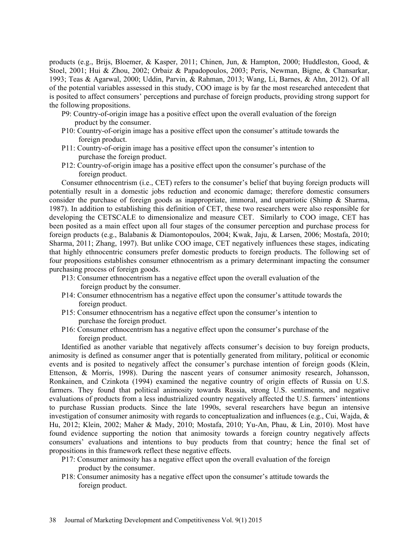products (e.g., Brijs, Bloemer, & Kasper, 2011; Chinen, Jun, & Hampton, 2000; Huddleston, Good, & Stoel, 2001; Hui & Zhou, 2002; Orbaiz & Papadopoulos, 2003; Peris, Newman, Bigne, & Chansarkar, 1993; Teas & Agarwal, 2000; Uddin, Parvin, & Rahman, 2013; Wang, Li, Barnes, & Ahn, 2012). Of all of the potential variables assessed in this study, COO image is by far the most researched antecedent that is posited to affect consumers' perceptions and purchase of foreign products, providing strong support for the following propositions.

- P9: Country-of-origin image has a positive effect upon the overall evaluation of the foreign product by the consumer.
- P10: Country-of-origin image has a positive effect upon the consumer's attitude towards the foreign product.
- P11: Country-of-origin image has a positive effect upon the consumer's intention to purchase the foreign product.
- P12: Country-of-origin image has a positive effect upon the consumer's purchase of the foreign product.

Consumer ethnocentrism (i.e., CET) refers to the consumer's belief that buying foreign products will potentially result in a domestic jobs reduction and economic damage; therefore domestic consumers consider the purchase of foreign goods as inappropriate, immoral, and unpatriotic (Shimp & Sharma, 1987). In addition to establishing this definition of CET, these two researchers were also responsible for developing the CETSCALE to dimensionalize and measure CET. Similarly to COO image, CET has been posited as a main effect upon all four stages of the consumer perception and purchase process for foreign products (e.g., Balabanis & Diamontopoulos, 2004; Kwak, Jaju, & Larsen, 2006; Mostafa, 2010; Sharma, 2011; Zhang, 1997). But unlike COO image, CET negatively influences these stages, indicating that highly ethnocentric consumers prefer domestic products to foreign products. The following set of four propositions establishes consumer ethnocentrism as a primary determinant impacting the consumer purchasing process of foreign goods.

- P13: Consumer ethnocentrism has a negative effect upon the overall evaluation of the foreign product by the consumer.
- P14: Consumer ethnocentrism has a negative effect upon the consumer's attitude towards the foreign product.
- P15: Consumer ethnocentrism has a negative effect upon the consumer's intention to purchase the foreign product.
- P16: Consumer ethnocentrism has a negative effect upon the consumer's purchase of the foreign product.

Identified as another variable that negatively affects consumer's decision to buy foreign products, animosity is defined as consumer anger that is potentially generated from military, political or economic events and is posited to negatively affect the consumer's purchase intention of foreign goods (Klein, Ettenson, & Morris, 1998). During the nascent years of consumer animosity research, Johansson, Ronkainen, and Czinkota (1994) examined the negative country of origin effects of Russia on U.S. farmers. They found that political animosity towards Russia, strong U.S. sentiments, and negative evaluations of products from a less industrialized country negatively affected the U.S. farmers' intentions to purchase Russian products. Since the late 1990s, several researchers have begun an intensive investigation of consumer animosity with regards to conceptualization and influences (e.g., Cui, Wajda, & Hu, 2012; Klein, 2002; Maher & Mady, 2010; Mostafa, 2010; Yu-An, Phau, & Lin, 2010). Most have found evidence supporting the notion that animosity towards a foreign country negatively affects consumers' evaluations and intentions to buy products from that country; hence the final set of propositions in this framework reflect these negative effects.

- P17: Consumer animosity has a negative effect upon the overall evaluation of the foreign product by the consumer.
- P18: Consumer animosity has a negative effect upon the consumer's attitude towards the foreign product.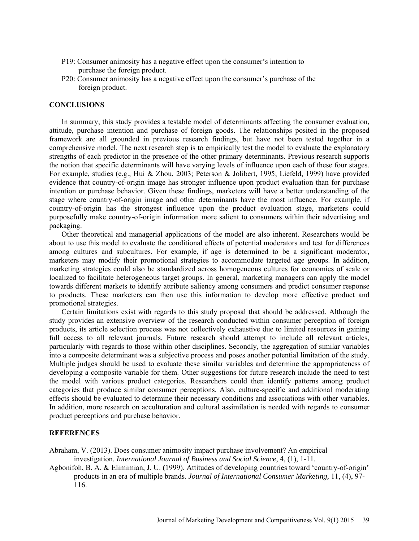- P19: Consumer animosity has a negative effect upon the consumer's intention to purchase the foreign product.
- P20: Consumer animosity has a negative effect upon the consumer's purchase of the foreign product.

#### **CONCLUSIONS**

In summary, this study provides a testable model of determinants affecting the consumer evaluation, attitude, purchase intention and purchase of foreign goods. The relationships posited in the proposed framework are all grounded in previous research findings, but have not been tested together in a comprehensive model. The next research step is to empirically test the model to evaluate the explanatory strengths of each predictor in the presence of the other primary determinants. Previous research supports the notion that specific determinants will have varying levels of influence upon each of these four stages. For example, studies (e.g., Hui & Zhou, 2003; Peterson & Jolibert, 1995; Liefeld, 1999) have provided evidence that country-of-origin image has stronger influence upon product evaluation than for purchase intention or purchase behavior. Given these findings, marketers will have a better understanding of the stage where country-of-origin image and other determinants have the most influence. For example, if country-of-origin has the strongest influence upon the product evaluation stage, marketers could purposefully make country-of-origin information more salient to consumers within their advertising and packaging.

Other theoretical and managerial applications of the model are also inherent. Researchers would be about to use this model to evaluate the conditional effects of potential moderators and test for differences among cultures and subcultures. For example, if age is determined to be a significant moderator, marketers may modify their promotional strategies to accommodate targeted age groups. In addition, marketing strategies could also be standardized across homogeneous cultures for economies of scale or localized to facilitate heterogeneous target groups. In general, marketing managers can apply the model towards different markets to identify attribute saliency among consumers and predict consumer response to products. These marketers can then use this information to develop more effective product and promotional strategies.

Certain limitations exist with regards to this study proposal that should be addressed. Although the study provides an extensive overview of the research conducted within consumer perception of foreign products, its article selection process was not collectively exhaustive due to limited resources in gaining full access to all relevant journals. Future research should attempt to include all relevant articles, particularly with regards to those within other disciplines. Secondly, the aggregation of similar variables into a composite determinant was a subjective process and poses another potential limitation of the study. Multiple judges should be used to evaluate these similar variables and determine the appropriateness of developing a composite variable for them. Other suggestions for future research include the need to test the model with various product categories. Researchers could then identify patterns among product categories that produce similar consumer perceptions. Also, culture-specific and additional moderating effects should be evaluated to determine their necessary conditions and associations with other variables. In addition, more research on acculturation and cultural assimilation is needed with regards to consumer product perceptions and purchase behavior.

#### **REFERENCES**

Abraham, V. (2013). Does consumer animosity impact purchase involvement? An empirical investigation. *International Journal of Business and Social Science*, 4, (1), 1-11.

Agbonifoh, B. A. & Elimimian, J. U. **(**1999). Attitudes of developing countries toward 'country-of-origin' products in an era of multiple brands. *Journal of International Consumer Marketing,* 11, (4), 97- 116.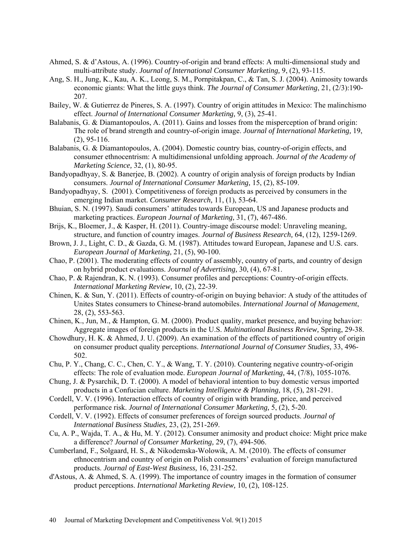- Ahmed, S. & d'Astous, A. (1996). Country-of-origin and brand effects: A multi-dimensional study and multi-attribute study. *Journal of International Consumer Marketing,* 9, (2), 93-115.
- Ang, S. H., Jung, K., Kau, A. K., Leong, S. M., Pornpitakpan, C., & Tan, S. J. (2004). Animosity towards economic giants: What the little guys think. *The Journal of Consumer Marketing*, 21, (2/3):190- 207.
- Bailey, W. & Gutierrez de Pineres, S. A. (1997). Country of origin attitudes in Mexico: The malinchismo effect. *Journal of International Consumer Marketing,* 9, (3), 25-41.
- Balabanis, G. & Diamantopoulos, A. (2011). Gains and losses from the misperception of brand origin: The role of brand strength and country-of-origin image. *Journal of International Marketing,* 19, (2), 95-116.
- Balabanis, G. & Diamantopoulos, A. (2004). Domestic country bias, country-of-origin effects, and consumer ethnocentrism: A multidimensional unfolding approach. *Journal of the Academy of Marketing Science,* 32, (1), 80-95.
- Bandyopadhyay, S. & Banerjee, B. (2002). A country of origin analysis of foreign products by Indian consumers. *Journal of International Consumer Marketing,* 15, (2), 85-109.
- Bandyopadhyay, S. (2001). Competitiveness of foreign products as perceived by consumers in the emerging Indian market. *Consumer Research,* 11, (1), 53-64.
- Bhuian, S. N. (1997). Saudi consumers' attitudes towards European, US and Japanese products and marketing practices. *European Journal of Marketing,* 31, (7), 467-486.
- Brijs, K., Bloemer, J., & Kasper, H. (2011). Country-image discourse model: Unraveling meaning, structure, and function of country images. *Journal of Business Research,* 64, (12), 1259-1269.
- Brown, J. J., Light, C. D., & Gazda, G. M. (1987). Attitudes toward European, Japanese and U.S. cars. *European Journal of Marketing,* 21, (5), 90-100.
- Chao, P. (2001). The moderating effects of country of assembly, country of parts, and country of design on hybrid product evaluations. *Journal of Advertising,* 30, (4), 67-81.
- Chao, P. & Rajendran, K. N. (1993). Consumer profiles and perceptions: Country-of-origin effects. *International Marketing Review,* 10, (2), 22-39.
- Chinen, K. & Sun, Y. (2011). Effects of country-of-origin on buying behavior: A study of the attitudes of Unites States consumers to Chinese-brand automobiles. *International Journal of Management*, 28, (2), 553-563.
- Chinen, K., Jun, M., & Hampton, G. M. (2000). Product quality, market presence, and buying behavior: Aggregate images of foreign products in the U.S. *Multinational Business Review,* Spring, 29-38.
- Chowdhury, H. K. & Ahmed, J. U. (2009). An examination of the effects of partitioned country of origin on consumer product quality perceptions. *International Journal of Consumer Studies,* 33, 496- 502.
- Chu, P. Y., Chang, C. C., Chen, C. Y., & Wang, T. Y. (2010). Countering negative country-of-origin effects: The role of evaluation mode. *European Journal of Marketing,* 44, (7/8), 1055-1076.
- Chung, J. & Pysarchik, D. T. (2000). A model of behavioral intention to buy domestic versus imported products in a Confucian culture. *Marketing Intelligence & Planning,* 18, (5), 281-291.
- Cordell, V. V. (1996). Interaction effects of country of origin with branding, price, and perceived performance risk. *Journal of International Consumer Marketing,* 5, (2), 5-20.
- Cordell, V. V. (1992). Effects of consumer preferences of foreign sourced products. *Journal of International Business Studies,* 23, (2), 251-269.
- Cu, A. P., Wajda, T. A., & Hu, M. Y. (2012). Consumer animosity and product choice: Might price make a difference? *Journal of Consumer Marketing,* 29, (7), 494-506.
- Cumberland, F., Solgaard, H. S., & Nikodemska-Wolowik, A. M. (2010). The effects of consumer ethnocentrism and country of origin on Polish consumers' evaluation of foreign manufactured products. *Journal of East-West Business,* 16, 231-252.
- d'Astous, A. & Ahmed, S. A. (1999). The importance of country images in the formation of consumer product perceptions. *International Marketing Review,* 10, (2), 108-125.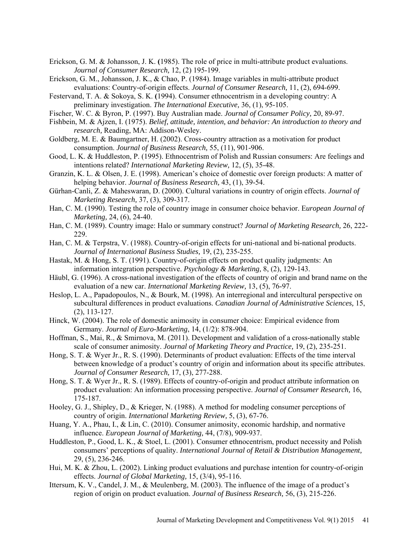- Erickson, G. M. & Johansson, J. K. **(**1985). The role of price in multi-attribute product evaluations. *Journal of Consumer Research,* 12, (2) 195-199.
- Erickson, G. M., Johansson, J. K., & Chao, P. (1984). Image variables in multi-attribute product evaluations: Country-of-origin effects. *Journal of Consumer Research,* 11, (2), 694-699.
- Festervand, T. A. & Sokoya, S. K. **(**1994). Consumer ethnocentrism in a developing country: A preliminary investigation. *The International Executive,* 36, (1), 95-105.
- Fischer, W. C. & Byron, P. (1997). Buy Australian made. *Journal of Consumer Policy,* 20, 89-97.
- Fishbein, M. & Ajzen, I. (1975). *Belief, attitude, intention, and behavior: An introduction to theory and research,* Reading, MA: Addison-Wesley.
- Goldberg, M. E. & Baumgartner, H. (2002). Cross-country attraction as a motivation for product consumption. *Journal of Business Research,* 55, (11), 901-906.
- Good, L. K. & Huddleston, P. (1995). Ethnocentrism of Polish and Russian consumers: Are feelings and intentions related? *International Marketing Review,* 12, (5), 35-48.
- Granzin, K. L. & Olsen, J. E. (1998). American's choice of domestic over foreign products: A matter of helping behavior. *Journal of Business Research,* 43, (1), 39-54.
- Gürhan-Canli, Z. & Maheswaran, D. (2000). Cultural variations in country of origin effects. *Journal of Marketing Research,* 37, (3), 309-317.
- Han, C. M. (1990). Testing the role of country image in consumer choice behavior. E*uropean Journal of Marketing,* 24, (6), 24-40.
- Han, C. M. (1989). Country image: Halo or summary construct? *Journal of Marketing Research,* 26, 222- 229.
- Han, C. M. & Terpstra, V. (1988). Country-of-origin effects for uni-national and bi-national products. *Journal of International Business Studies,* 19, (2), 235-255.
- Hastak, M. & Hong, S. T. (1991). Country-of-origin effects on product quality judgments: An information integration perspective. *Psychology & Marketing,* 8, (2), 129-143.
- Häubl, G. (1996). A cross-national investigation of the effects of country of origin and brand name on the evaluation of a new car. *International Marketing Review,* 13, (5), 76-97.
- Heslop, L. A., Papadopoulos, N., & Bourk, M. (1998). An interregional and intercultural perspective on subcultural differences in product evaluations. *Canadian Journal of Administrative Sciences,* 15, (2), 113-127.
- Hinck, W. (2004). The role of domestic animosity in consumer choice: Empirical evidence from Germany. *Journal of Euro-Marketing*, 14, (1/2): 878-904.
- Hoffman, S., Mai, R., & Smirnova, M. (2011). Development and validation of a cross-nationally stable scale of consumer animosity. *Journal of Marketing Theory and Practice,* 19, (2), 235-251.
- Hong, S. T. & Wyer Jr., R. S. (1990). Determinants of product evaluation: Effects of the time interval between knowledge of a product's country of origin and information about its specific attributes. *Journal of Consumer Research,* 17, (3), 277-288.
- Hong, S. T. & Wyer Jr., R. S. (1989). Effects of country-of-origin and product attribute information on product evaluation: An information processing perspective. *Journal of Consumer Research,* 16, 175-187.
- Hooley, G. J., Shipley, D., & Krieger, N. (1988). A method for modeling consumer perceptions of country of origin. *International Marketing Review,* 5, (3), 67-76.
- Huang, Y. A., Phau, I., & Lin, C. (2010). Consumer animosity, economic hardship, and normative influence. *European Journal of Marketing,* 44, (7/8), 909-937.
- Huddleston, P., Good, L. K., & Stoel, L. (2001). Consumer ethnocentrism, product necessity and Polish consumers' perceptions of quality. *International Journal of Retail & Distribution Management,* 29, (5), 236-246.
- Hui, M. K. & Zhou, L. (2002). Linking product evaluations and purchase intention for country-of-origin effects. *Journal of Global Marketing,* 15, (3/4), 95-116.
- Ittersum, K. V., Candel, J. M., & Meulenberg, M. (2003). The influence of the image of a product's region of origin on product evaluation. *Journal of Business Research,* 56, (3), 215-226.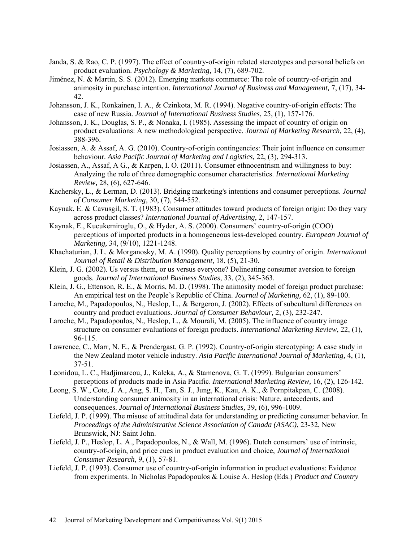- Janda, S. & Rao, C. P. (1997). The effect of country-of-origin related stereotypes and personal beliefs on product evaluation. *Psychology & Marketing,* 14, (7), 689-702.
- Jiménez, N. & Martin, S. S. (2012). Emerging markets commerce: The role of country-of-origin and animosity in purchase intention. *International Journal of Business and Management,* 7, (17), 34- 42.
- Johansson, J. K., Ronkainen, I. A., & Czinkota, M. R. (1994). Negative country-of-origin effects: The case of new Russia. *Journal of International Business Studies*, 25, (1), 157-176.
- Johansson, J. K., Douglas, S. P., & Nonaka, I. (1985). Assessing the impact of country of origin on product evaluations: A new methodological perspective. *Journal of Marketing Research,* 22, (4), 388-396.
- Josiassen, A. & Assaf, A. G. (2010). Country-of-origin contingencies: Their joint influence on consumer behaviour. *Asia Pacific Journal of Marketing and Logistics,* 22, (3), 294-313.
- Josiassen, A., Assaf, A G., & Karpen, I. O. (2011). Consumer ethnocentrism and willingness to buy: Analyzing the role of three demographic consumer characteristics. *International Marketing Review,* 28, (6), 627-646.
- Kachersky, L., & Lerman, D. (2013). Bridging marketing's intentions and consumer perceptions. *Journal of Consumer Marketing*, 30, (7), 544-552.
- Kaynak, E. & Cavusgil, S. T. (1983). Consumer attitudes toward products of foreign origin: Do they vary across product classes? *International Journal of Advertising*, 2, 147-157.
- Kaynak, E., Kucukemiroglu, O., & Hyder, A. S. (2000). Consumers' country-of-origin (COO) perceptions of imported products in a homogeneous less-developed country. *European Journal of Marketing,* 34, (9/10), 1221-1248.
- Khachaturian, J. L. & Morganosky, M. A. (1990). Quality perceptions by country of origin. *International Journal of Retail & Distribution Management,* 18, (5), 21-30.
- Klein, J. G. (2002). Us versus them, or us versus everyone? Delineating consumer aversion to foreign goods. *Journal of International Business Studies,* 33, (2), 345-363.
- Klein, J. G., Ettenson, R. E., & Morris, M. D. (1998). The animosity model of foreign product purchase: An empirical test on the People's Republic of China. *Journal of Marketing,* 62, (1), 89-100.
- Laroche, M., Papadopoulos, N., Heslop, L., & Bergeron, J. (2002). Effects of subcultural differences on country and product evaluations. *Journal of Consumer Behaviour,* 2, (3), 232-247.
- Laroche, M., Papadopoulos, N., Heslop, L., & Mourali, M. (2005). The influence of country image structure on consumer evaluations of foreign products. *International Marketing Review*, 22, (1), 96-115.
- Lawrence, C., Marr, N. E., & Prendergast, G. P. (1992). Country-of-origin stereotyping: A case study in the New Zealand motor vehicle industry. *Asia Pacific International Journal of Marketing,* 4, (1), 37-51.
- Leonidou, L. C., Hadjimarcou, J., Kaleka, A., & Stamenova, G. T. (1999). Bulgarian consumers' perceptions of products made in Asia Pacific. *International Marketing Review,* 16, (2), 126-142.
- Leong, S. W., Cote, J. A., Ang, S. H., Tan, S. J., Jung, K., Kau, A. K., & Pornpitakpan, C. (2008). Understanding consumer animosity in an international crisis: Nature, antecedents, and consequences. *Journal of International Business Studies,* 39, (6), 996-1009.
- Liefeld, J. P. (1999). The misuse of attitudinal data for understanding or predicting consumer behavior. In *Proceedings of the Administrative Science Association of Canada (ASAC)*, 23-32, New Brunswick, NJ: Saint John.
- Liefeld, J. P., Heslop, L. A., Papadopoulos, N., & Wall, M. (1996). Dutch consumers' use of intrinsic, country-of-origin, and price cues in product evaluation and choice, *Journal of International Consumer Research,* 9, (1), 57-81.
- Liefeld, J. P. (1993). Consumer use of country-of-origin information in product evaluations: Evidence from experiments. In Nicholas Papadopoulos & Louise A. Heslop (Eds.) *Product and Country*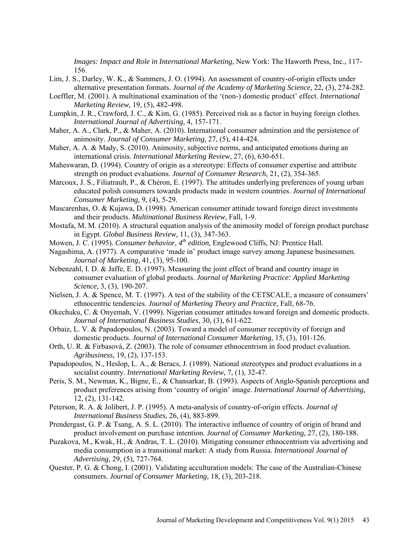*Images: Impact and Role in International Marketing*, New York: The Haworth Press, Inc., 117- 156.

- Lim, J. S., Darley, W. K., & Summers, J. O. (1994). An assessment of country-of-origin effects under alternative presentation formats. *Journal of the Academy of Marketing Science,* 22, (3), 274-282.
- Loeffler, M. (2001). A multinational examination of the '(non-) domestic product' effect. *International Marketing Review,* 19, (5), 482-498.
- Lumpkin, J. R., Crawford, J. C., & Kim, G. (1985). Perceived risk as a factor in buying foreign clothes. *International Journal of Advertising,* 4, 157-171.
- Maher, A. A., Clark, P., & Maher, A. (2010). International consumer admiration and the persistence of animosity. *Journal of Consumer Marketing,* 27, (5), 414-424.
- Maher, A. A. & Mady, S. (2010). Animosity, subjective norms, and anticipated emotions during an international crisis. *International Marketing Review,* 27, (6), 630-651.
- Maheswaran, D. (1994). Country of origin as a stereotype: Effects of consumer expertise and attribute strength on product evaluations. *Journal of Consumer Research,* 21, (2), 354-365.
- Marcoux, J. S., Filiatrault, P., & Chéron, E. (1997). The attitudes underlying preferences of young urban educated polish consumers towards products made in western countries. *Journal of International Consumer Marketing,* 9, (4), 5-29.
- Mascarenhas, O. & Kujawa, D. (1998). American consumer attitude toward foreign direct investments and their products. *Multinational Business Review,* Fall, 1-9.
- Mostafa, M. M. (2010). A structural equation analysis of the animosity model of foreign product purchase in Egypt. *Global Business Review,* 11, (3), 347-363.
- Mowen, J. C. (1995). *Consumer behavior, 4th edition,* Englewood Cliffs, NJ: Prentice Hall.
- Nagashima, A. (1977). A comparative 'made in' product image survey among Japanese businessmen. *Journal of Marketing,* 41, (3), 95-100.
- Nebenzahl, I. D. & Jaffe, E. D. (1997). Measuring the joint effect of brand and country image in consumer evaluation of global products. *Journal of Marketing Practice: Applied Marketing Science,* 3, (3), 190-207.
- Nielsen, J. A. & Spence, M. T. (1997). A test of the stability of the CETSCALE, a measure of consumers' ethnocentric tendencies. *Journal of Marketing Theory and Practice,* Fall, 68-76.
- Okechuku, C. & Onyemah, V. (1999). Nigerian consumer attitudes toward foreign and domestic products. *Journal of International Business Studies,* 30, (3), 611-622.
- Orbaiz, L. V. & Papadopoulos, N. (2003). Toward a model of consumer receptivity of foreign and domestic products. *Journal of International Consumer Marketing,* 15, (3), 101-126.
- Orth, U. R. & Firbasová, Z. (2003). The role of consumer ethnocentrism in food product evaluation. *Agribusiness,* 19, (2), 137-153.
- Papadopoulos, N., Heslop, L. A., & Beracs, J. (1989). National stereotypes and product evaluations in a socialist country. *International Marketing Review,* 7, (1), 32-47.
- Peris, S. M., Newman, K., Bigne, E., & Chansarkar, B. (1993). Aspects of Anglo-Spanish perceptions and product preferences arising from 'country of origin' image. *International Journal of Advertising,* 12, (2), 131-142.
- Peterson, R. A. & Jolibert, J. P. (1995). A meta-analysis of country-of-origin effects. *Journal of International Business Studies,* 26, (4), 883-899.
- Prendergast, G. P. & Tsang, A. S. L. (2010). The interactive influence of country of origin of brand and product involvement on purchase intention. *Journal of Consumer Marketing,* 27, (2), 180-188.
- Puzakova, M., Kwak, H., & Andras, T. L. (2010). Mitigating consumer ethnocentrism via advertising and media consumption in a transitional market: A study from Russia. *International Journal of Advertising,* 29, (5), 727-764.
- Quester, P. G. & Chong, I. (2001). Validating acculturation models: The case of the Australian-Chinese consumers. *Journal of Consumer Marketing,* 18, (3), 203-218.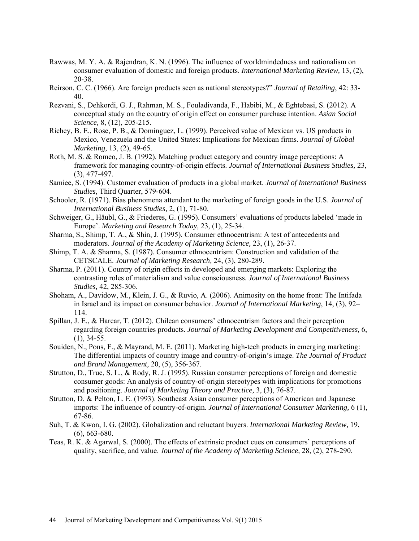- Rawwas, M. Y. A. & Rajendran, K. N. (1996). The influence of worldmindedness and nationalism on consumer evaluation of domestic and foreign products. *International Marketing Review,* 13, (2), 20-38.
- Reirson, C. C. (1966). Are foreign products seen as national stereotypes?" *Journal of Retailing*, 42: 33- 40.
- Rezvani, S., Dehkordi, G. J., Rahman, M. S., Fouladivanda, F., Habibi, M., & Eghtebasi, S. (2012). A conceptual study on the country of origin effect on consumer purchase intention. *Asian Social Science,* 8, (12), 205-215.
- Richey, B. E., Rose, P. B., & Dominguez, L. (1999). Perceived value of Mexican vs. US products in Mexico, Venezuela and the United States: Implications for Mexican firms. *Journal of Global Marketing,* 13, (2), 49-65.
- Roth, M. S. & Romeo, J. B. (1992). Matching product category and country image perceptions: A framework for managing country-of-origin effects. *Journal of International Business Studies,* 23, (3), 477-497.
- Samiee, S. (1994). Customer evaluation of products in a global market. *Journal of International Business Studies,* Third Quarter, 579-604.
- Schooler, R. (1971). Bias phenomena attendant to the marketing of foreign goods in the U.S. *Journal of International Business Studies,* 2, (1), 71-80.
- Schweiger, G., Häubl, G., & Friederes, G. (1995). Consumers' evaluations of products labeled 'made in Europe'. *Marketing and Research Today,* 23, (1), 25-34.
- Sharma, S., Shimp, T. A., & Shin, J. (1995). Consumer ethnocentrism: A test of antecedents and moderators. *Journal of the Academy of Marketing Science,* 23, (1), 26-37.
- Shimp, T. A. & Sharma, S. (1987). Consumer ethnocentrism: Construction and validation of the CETSCALE. *Journal of Marketing Research,* 24, (3), 280-289.
- Sharma, P. (2011). Country of origin effects in developed and emerging markets: Exploring the contrasting roles of materialism and value consciousness. *Journal of International Business Studies,* 42, 285-306.
- Shoham, A., Davidow, M., Klein, J. G., & Ruvio, A. (2006). Animosity on the home front: The Intifada in Israel and its impact on consumer behavior. *Journal of International Marketing*, 14, (3), 92– 114.
- Spillan, J. E., & Harcar, T. (2012). Chilean consumers' ethnocentrism factors and their perception regarding foreign countries products. *Journal of Marketing Development and Competitiveness,* 6, (1), 34-55.
- Souiden, N., Pons, F., & Mayrand, M. E. (2011). Marketing high-tech products in emerging marketing: The differential impacts of country image and country-of-origin's image. *The Journal of Product and Brand Management,* 20, (5), 356-367.
- Strutton, D., True, S. L., & Rody, R. J. (1995). Russian consumer perceptions of foreign and domestic consumer goods: An analysis of country-of-origin stereotypes with implications for promotions and positioning. *Journal of Marketing Theory and Practice,* 3, (3), 76-87.
- Strutton, D. & Pelton, L. E. (1993). Southeast Asian consumer perceptions of American and Japanese imports: The influence of country-of-origin. *Journal of International Consumer Marketing,* 6 (1), 67-86.
- Suh, T. & Kwon, I. G. (2002). Globalization and reluctant buyers. *International Marketing Review,* 19, (6), 663-680.
- Teas, R. K. & Agarwal, S. (2000). The effects of extrinsic product cues on consumers' perceptions of quality, sacrifice, and value. *Journal of the Academy of Marketing Science,* 28, (2), 278-290.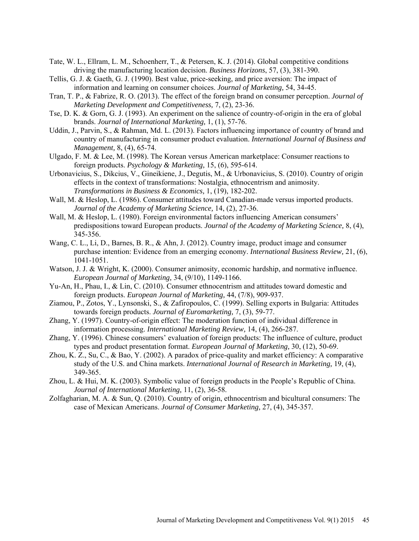- Tate, W. L., Ellram, L. M., Schoenherr, T., & Petersen, K. J. (2014). Global competitive conditions driving the manufacturing location decision. *Business Horizons*, 57, (3), 381-390.
- Tellis, G. J. & Gaeth, G. J. (1990). Best value, price-seeking, and price aversion: The impact of information and learning on consumer choices. *Journal of Marketing,* 54, 34-45.
- Tran, T. P., & Fabrize, R. O. (2013). The effect of the foreign brand on consumer perception. *Journal of Marketing Development and Competitiveness,* 7, (2), 23-36.
- Tse, D. K. & Gorn, G. J. (1993). An experiment on the salience of country-of-origin in the era of global brands. *Journal of International Marketing,* 1, (1), 57-76.
- Uddin, J., Parvin, S., & Rahman, Md. L. (2013). Factors influencing importance of country of brand and country of manufacturing in consumer product evaluation. *International Journal of Business and Management,* 8, (4), 65-74.
- Ulgado, F. M. & Lee, M. (1998). The Korean versus American marketplace: Consumer reactions to foreign products. *Psychology & Marketing,* 15, (6), 595-614.
- Urbonavicius, S., Dikcius, V., Gineikiene, J., Degutis, M., & Urbonavicius, S. (2010). Country of origin effects in the context of transformations: Nostalgia, ethnocentrism and animosity. *Transformations in Business & Economics,* 1, (19), 182-202.
- Wall, M. & Heslop, L. (1986). Consumer attitudes toward Canadian-made versus imported products. *Journal of the Academy of Marketing Science,* 14, (2), 27-36.
- Wall, M. & Heslop, L. (1980). Foreign environmental factors influencing American consumers' predispositions toward European products. *Journal of the Academy of Marketing Science,* 8, (4), 345-356.
- Wang, C. L., Li, D., Barnes, B. R., & Ahn, J. (2012). Country image, product image and consumer purchase intention: Evidence from an emerging economy. *International Business Review,* 21, (6), 1041-1051.
- Watson, J. J. & Wright, K. (2000). Consumer animosity, economic hardship, and normative influence. *European Journal of Marketing,* 34, (9/10), 1149-1166.
- Yu-An, H., Phau, I., & Lin, C. (2010). Consumer ethnocentrism and attitudes toward domestic and foreign products. *European Journal of Marketing,* 44, (7/8), 909-937.
- Ziamou, P., Zotos, Y., Lynsonski, S., & Zafiropoulos, C. (1999). Selling exports in Bulgaria: Attitudes towards foreign products. *Journal of Euromarketing,* 7, (3), 59-77.
- Zhang, Y. (1997). Country-of-origin effect: The moderation function of individual difference in information processing. *International Marketing Review,* 14, (4), 266-287.
- Zhang, Y. (1996). Chinese consumers' evaluation of foreign products: The influence of culture, product types and product presentation format. *European Journal of Marketing,* 30, (12), 50-69.
- Zhou, K. Z., Su, C., & Bao, Y. (2002). A paradox of price-quality and market efficiency: A comparative study of the U.S. and China markets. *International Journal of Research in Marketing,* 19, (4), 349-365.
- Zhou, L. & Hui, M. K. (2003). Symbolic value of foreign products in the People's Republic of China. *Journal of International Marketing,* 11, (2), 36-58.
- Zolfagharian, M. A. & Sun, Q. (2010). Country of origin, ethnocentrism and bicultural consumers: The case of Mexican Americans. *Journal of Consumer Marketing,* 27, (4), 345-357.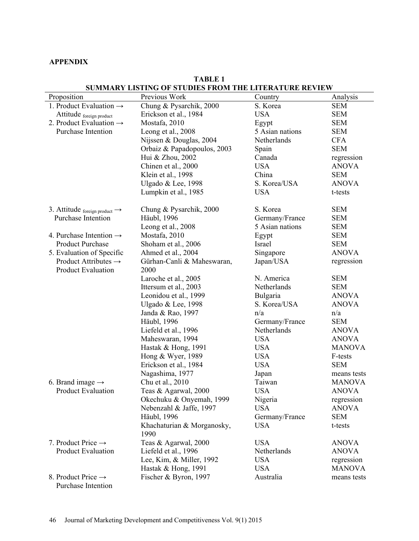## **APPENDIX**

|                                           | sommini bistri o of stophs thom the bitbien call about |                 |               |
|-------------------------------------------|--------------------------------------------------------|-----------------|---------------|
| Proposition                               | Previous Work                                          | Country         | Analysis      |
| 1. Product Evaluation $\rightarrow$       | Chung & Pysarchik, 2000                                | S. Korea        | <b>SEM</b>    |
| Attitude foreign product                  | Erickson et al., 1984                                  | <b>USA</b>      | <b>SEM</b>    |
| 2. Product Evaluation $\rightarrow$       | Mostafa, 2010                                          | Egypt           | <b>SEM</b>    |
| Purchase Intention                        | Leong et al., 2008                                     | 5 Asian nations | <b>SEM</b>    |
|                                           | Nijssen & Douglas, 2004                                | Netherlands     | <b>CFA</b>    |
|                                           | Orbaiz & Papadopoulos, 2003                            | Spain           | <b>SEM</b>    |
|                                           | Hui & Zhou, 2002                                       | Canada          | regression    |
|                                           | Chinen et al., 2000                                    | <b>USA</b>      | <b>ANOVA</b>  |
|                                           | Klein et al., 1998                                     | China           | <b>SEM</b>    |
|                                           | Ulgado & Lee, 1998                                     | S. Korea/USA    | <b>ANOVA</b>  |
|                                           | Lumpkin et al., 1985                                   | <b>USA</b>      | t-tests       |
|                                           |                                                        |                 |               |
| 3. Attitude foreign product $\rightarrow$ | Chung & Pysarchik, 2000                                | S. Korea        | <b>SEM</b>    |
| Purchase Intention                        | Häubl, 1996                                            | Germany/France  | <b>SEM</b>    |
|                                           | Leong et al., 2008                                     | 5 Asian nations | <b>SEM</b>    |
| 4. Purchase Intention $\rightarrow$       | Mostafa, 2010                                          | Egypt           | <b>SEM</b>    |
| <b>Product Purchase</b>                   | Shoham et al., 2006                                    | Israel          | <b>SEM</b>    |
| 5. Evaluation of Specific                 | Ahmed et al., 2004                                     | Singapore       | <b>ANOVA</b>  |
| Product Attributes $\rightarrow$          | Gürhan-Canli & Maheswaran,                             | Japan/USA       | regression    |
| <b>Product Evaluation</b>                 | 2000                                                   |                 |               |
|                                           | Laroche et al., 2005                                   | N. America      | <b>SEM</b>    |
|                                           | Ittersum et al., 2003                                  | Netherlands     | <b>SEM</b>    |
|                                           | Leonidou et al., 1999                                  | Bulgaria        | <b>ANOVA</b>  |
|                                           | Ulgado & Lee, 1998                                     | S. Korea/USA    | <b>ANOVA</b>  |
|                                           | Janda & Rao, 1997                                      | n/a             | n/a           |
|                                           | Häubl, 1996                                            | Germany/France  | <b>SEM</b>    |
|                                           | Liefeld et al., 1996                                   | Netherlands     | <b>ANOVA</b>  |
|                                           | Maheswaran, 1994                                       | <b>USA</b>      | <b>ANOVA</b>  |
|                                           | Hastak & Hong, 1991                                    | <b>USA</b>      | <b>MANOVA</b> |
|                                           | Hong & Wyer, 1989                                      | <b>USA</b>      | F-tests       |
|                                           |                                                        | <b>USA</b>      |               |
|                                           | Erickson et al., 1984                                  |                 | <b>SEM</b>    |
|                                           | Nagashima, 1977                                        | Japan           | means tests   |
| 6. Brand image $\rightarrow$              | Chu et al., 2010                                       | Taiwan          | <b>MANOVA</b> |
| <b>Product Evaluation</b>                 | Teas & Agarwal, 2000                                   | <b>USA</b>      | <b>ANOVA</b>  |
|                                           | Okechuku & Onyemah, 1999                               | Nigeria         | regression    |
|                                           | Nebenzahl & Jaffe, 1997                                | <b>USA</b>      | <b>ANOVA</b>  |
|                                           | Häubl, 1996                                            | Germany/France  | <b>SEM</b>    |
|                                           | Khachaturian & Morganosky,<br>1990                     | <b>USA</b>      | t-tests       |
| 7. Product Price $\rightarrow$            | Teas & Agarwal, 2000                                   | <b>USA</b>      | <b>ANOVA</b>  |
| <b>Product Evaluation</b>                 | Liefeld et al., 1996                                   | Netherlands     | <b>ANOVA</b>  |
|                                           | Lee, Kim, & Miller, 1992                               | <b>USA</b>      | regression    |
|                                           | Hastak & Hong, 1991                                    | <b>USA</b>      | <b>MANOVA</b> |
| 8. Product Price $\rightarrow$            | Fischer & Byron, 1997                                  | Australia       | means tests   |
| Purchase Intention                        |                                                        |                 |               |

## **TABLE 1 SUMMARY LISTING OF STUDIES FROM THE LITERATURE REVIEW**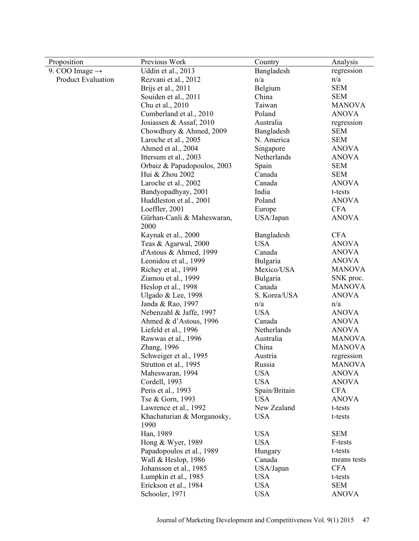| Proposition                | Previous Work               | Country       | Analysis      |
|----------------------------|-----------------------------|---------------|---------------|
| 9. COO Image $\rightarrow$ | Uddin et al., 2013          | Bangladesh    | regression    |
| <b>Product Evaluation</b>  | Rezvani et al., 2012        | n/a           | n/a           |
|                            | Brijs et al., 2011          | Belgium       | <b>SEM</b>    |
|                            | Souiden et al., 2011        | China         | <b>SEM</b>    |
|                            | Chu et al., 2010            | Taiwan        | <b>MANOVA</b> |
|                            | Cumberland et al., 2010     | Poland        | <b>ANOVA</b>  |
|                            | Josiassen & Assaf, 2010     | Australia     | regression    |
|                            | Chowdhury & Ahmed, 2009     | Bangladesh    | <b>SEM</b>    |
|                            | Laroche et al., 2005        | N. America    | <b>SEM</b>    |
|                            | Ahmed et al., 2004          | Singapore     | <b>ANOVA</b>  |
|                            | Ittersum et al., 2003       | Netherlands   | <b>ANOVA</b>  |
|                            | Orbaiz & Papadopoulos, 2003 | Spain         | <b>SEM</b>    |
|                            | Hui & Zhou 2002             | Canada        | <b>SEM</b>    |
|                            | Laroche et al., 2002        | Canada        | <b>ANOVA</b>  |
|                            | Bandyopadhyay, 2001         | India         | t-tests       |
|                            | Huddleston et al., 2001     | Poland        | <b>ANOVA</b>  |
|                            | Loeffler, 2001              | Europe        | <b>CFA</b>    |
|                            | Gürhan-Canli & Maheswaran,  | USA/Japan     | <b>ANOVA</b>  |
|                            | 2000                        |               |               |
|                            | Kaynak et al., 2000         | Bangladesh    | <b>CFA</b>    |
|                            | Teas & Agarwal, 2000        | <b>USA</b>    | <b>ANOVA</b>  |
|                            | d'Astous & Ahmed, 1999      | Canada        | <b>ANOVA</b>  |
|                            | Leonidou et al., 1999       | Bulgaria      | <b>ANOVA</b>  |
|                            | Richey et al., 1999         | Mexico/USA    | <b>MANOVA</b> |
|                            | Ziamou et al., 1999         | Bulgaria      | SNK proc.     |
|                            | Heslop et al., 1998         | Canada        | <b>MANOVA</b> |
|                            | Ulgado & Lee, 1998          | S. Korea/USA  | <b>ANOVA</b>  |
|                            | Janda & Rao, 1997           | n/a           | n/a           |
|                            | Nebenzahl & Jaffe, 1997     | <b>USA</b>    | <b>ANOVA</b>  |
|                            | Ahmed & d'Astous, 1996      | Canada        | <b>ANOVA</b>  |
|                            | Liefeld et al., 1996        | Netherlands   | <b>ANOVA</b>  |
|                            | Rawwas et al., 1996         | Australia     | <b>MANOVA</b> |
|                            | Zhang, 1996                 | China         | <b>MANOVA</b> |
|                            | Schweiger et al., 1995      | Austria       | regression    |
|                            | Strutton et al., 1995       | Russia        | <b>MANOVA</b> |
|                            | Maheswaran, 1994            | <b>USA</b>    | <b>ANOVA</b>  |
|                            | Cordell, 1993               | <b>USA</b>    | <b>ANOVA</b>  |
|                            | Peris et al., 1993          | Spain/Britain | <b>CFA</b>    |
|                            | Tse & Gorn, 1993            | <b>USA</b>    | <b>ANOVA</b>  |
|                            | Lawrence et al., 1992       | New Zealand   | t-tests       |
|                            | Khachaturian & Morganosky,  | <b>USA</b>    | t-tests       |
|                            | 1990                        |               |               |
|                            | Han, 1989                   | <b>USA</b>    | <b>SEM</b>    |
|                            | Hong & Wyer, 1989           | <b>USA</b>    | F-tests       |
|                            | Papadopoulos et al., 1989   | Hungary       | t-tests       |
|                            | Wall & Heslop, 1986         | Canada        | means tests   |
|                            | Johansson et al., 1985      | USA/Japan     | <b>CFA</b>    |
|                            | Lumpkin et al., 1985        | <b>USA</b>    | t-tests       |
|                            | Erickson et al., 1984       | <b>USA</b>    | <b>SEM</b>    |
|                            | Schooler, 1971              | <b>USA</b>    | <b>ANOVA</b>  |
|                            |                             |               |               |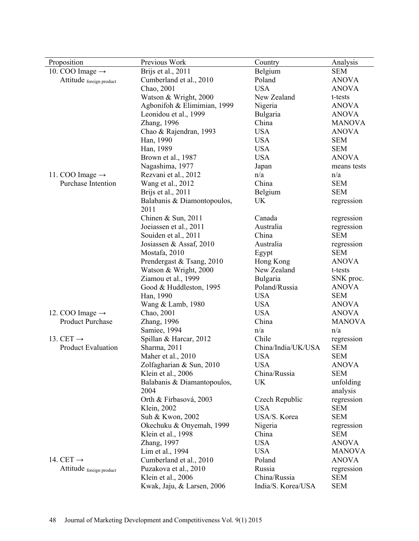| Proposition<br>Previous Work<br>Country                                       | Analysis      |
|-------------------------------------------------------------------------------|---------------|
| Brijs et al., 2011<br>10. COO Image $\rightarrow$<br>Belgium<br><b>SEM</b>    |               |
| Cumberland et al., 2010<br>Poland<br><b>ANOVA</b><br>Attitude foreign product |               |
| Chao, 2001<br><b>USA</b><br><b>ANOVA</b>                                      |               |
| Watson & Wright, 2000<br>New Zealand<br>t-tests                               |               |
| Agbonifoh & Elimimian, 1999<br>Nigeria<br><b>ANOVA</b>                        |               |
| Leonidou et al., 1999<br>Bulgaria<br><b>ANOVA</b>                             |               |
| Zhang, 1996<br>China                                                          | <b>MANOVA</b> |
| <b>USA</b><br>Chao & Rajendran, 1993<br><b>ANOVA</b>                          |               |
| Han, 1990<br><b>USA</b><br><b>SEM</b>                                         |               |
| <b>USA</b><br><b>SEM</b><br>Han, 1989                                         |               |
| Brown et al., 1987<br><b>USA</b><br><b>ANOVA</b>                              |               |
| Nagashima, 1977<br>Japan                                                      | means tests   |
| n/a<br>Rezvani et al., 2012<br>11. COO Image $\rightarrow$<br>n/a             |               |
| Purchase Intention<br>China<br>Wang et al., 2012<br><b>SEM</b>                |               |
| Brijs et al., 2011<br>Belgium<br><b>SEM</b>                                   |               |
| Balabanis & Diamontopoulos,<br>UK<br>regression                               |               |
| 2011                                                                          |               |
| Chinen & Sun, 2011<br>Canada<br>regression                                    |               |
| Australia<br>Joeiassen et al., 2011<br>regression                             |               |
| China<br><b>SEM</b><br>Souiden et al., 2011                                   |               |
| Josiassen & Assaf, 2010<br>Australia<br>regression                            |               |
| Mostafa, 2010<br><b>SEM</b><br>Egypt                                          |               |
| Prendergast & Tsang, 2010<br>Hong Kong<br><b>ANOVA</b>                        |               |
| New Zealand<br>Watson & Wright, 2000<br>t-tests                               |               |
| Ziamou et al., 1999<br>Bulgaria<br>SNK proc.                                  |               |
| Poland/Russia<br><b>ANOVA</b><br>Good & Huddleston, 1995                      |               |
| <b>USA</b><br><b>SEM</b><br>Han, 1990                                         |               |
| Wang & Lamb, 1980<br><b>USA</b><br><b>ANOVA</b>                               |               |
| <b>USA</b><br><b>ANOVA</b><br>12. COO Image $\rightarrow$<br>Chao, 2001       |               |
| <b>Product Purchase</b><br>China<br>Zhang, 1996                               | <b>MANOVA</b> |
| Samiee, 1994<br>n/a<br>n/a                                                    |               |
| Spillan & Harcar, 2012<br>Chile<br>13. CET $\rightarrow$<br>regression        |               |
| <b>SEM</b><br><b>Product Evaluation</b><br>Sharma, 2011<br>China/India/UK/USA |               |
| <b>SEM</b><br>Maher et al., 2010<br><b>USA</b>                                |               |
| <b>USA</b><br><b>ANOVA</b><br>Zolfagharian & Sun, 2010                        |               |
| Klein et al., 2006<br>China/Russia<br><b>SEM</b>                              |               |
| Balabanis & Diamantopoulos,<br><b>UK</b><br>unfolding                         |               |
| 2004<br>analysis                                                              |               |
| Orth & Firbasová, 2003<br>Czech Republic<br>regression                        |               |
| Klein, 2002<br><b>USA</b><br><b>SEM</b>                                       |               |
| USA/S. Korea<br><b>SEM</b><br>Suh & Kwon, 2002                                |               |
| Okechuku & Onyemah, 1999<br>Nigeria<br>regression                             |               |
| China<br>Klein et al., 1998<br><b>SEM</b>                                     |               |
| <b>USA</b><br>Zhang, 1997<br><b>ANOVA</b>                                     |               |
| Lim et al., 1994<br><b>USA</b>                                                | <b>MANOVA</b> |
| 14. CET $\rightarrow$<br>Cumberland et al., 2010<br>Poland<br><b>ANOVA</b>    |               |
| Puzakova et al., 2010<br>Russia<br>Attitude foreign product<br>regression     |               |
| Klein et al., 2006<br>China/Russia<br><b>SEM</b>                              |               |
| India/S. Korea/USA<br><b>SEM</b><br>Kwak, Jaju, & Larsen, 2006                |               |